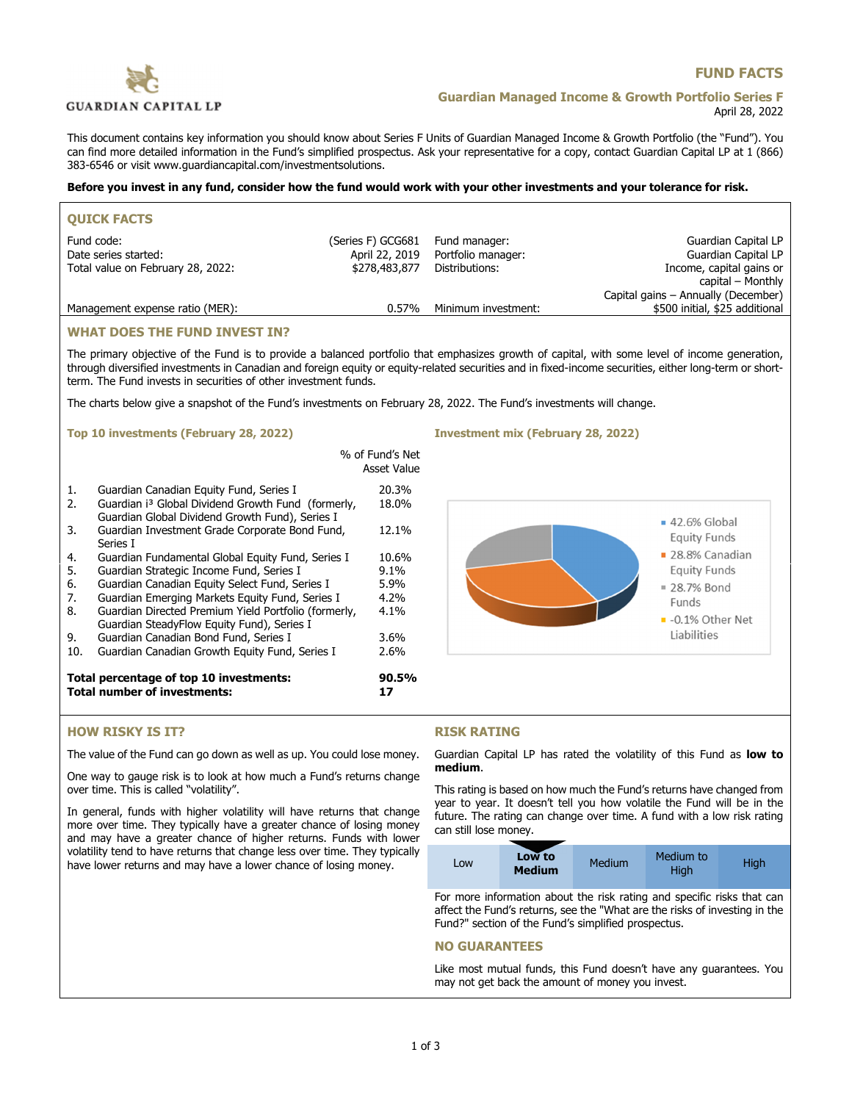

# **FUND FACTS**

## **Guardian Managed Income & Growth Portfolio Series F** April 28, 2022

This document contains key information you should know about Series F Units of Guardian Managed Income & Growth Portfolio (the "Fund"). You can find more detailed information in the Fund's simplified prospectus. Ask your representative for a copy, contact Guardian Capital LP at 1 (866) 383-6546 or visit www.guardiancapital.com/investmentsolutions.

### **Before you invest in any fund, consider how the fund would work with your other investments and your tolerance for risk.**

| <b>OUICK FACTS</b>                |                   |                     |                                     |
|-----------------------------------|-------------------|---------------------|-------------------------------------|
| Fund code:                        | (Series F) GCG681 | Fund manager:       | Guardian Capital LP                 |
| Date series started:              | April 22, 2019    | Portfolio manager:  | Guardian Capital LP                 |
| Total value on February 28, 2022: | \$278,483,877     | Distributions:      | Income, capital gains or            |
|                                   |                   |                     | capital – Monthly                   |
|                                   |                   |                     | Capital gains – Annually (December) |
| Management expense ratio (MER):   | $0.57\%$          | Minimum investment: | \$500 initial, \$25 additional      |
|                                   |                   |                     |                                     |

### **WHAT DOES THE FUND INVEST IN?**

The primary objective of the Fund is to provide a balanced portfolio that emphasizes growth of capital, with some level of income generation, through diversified investments in Canadian and foreign equity or equity-related securities and in fixed-income securities, either long-term or shortterm. The Fund invests in securities of other investment funds.

The charts below give a snapshot of the Fund's investments on February 28, 2022. The Fund's investments will change.

#### **Top 10 investments (February 28, 2022) Investment mix (February 28, 2022)**

|     | Total percentage of top 10 investments:<br><b>Total number of investments:</b>                                    | 90.5%<br>17                    |
|-----|-------------------------------------------------------------------------------------------------------------------|--------------------------------|
| 10. | Guardian Canadian Growth Equity Fund, Series I                                                                    | 2.6%                           |
| 9.  | Guardian SteadyFlow Equity Fund), Series I<br>Guardian Canadian Bond Fund, Series I                               | 3.6%                           |
| 8.  | Guardian Directed Premium Yield Portfolio (formerly,                                                              | $4.1\%$                        |
| 7.  | Guardian Emerging Markets Equity Fund, Series I                                                                   | 4.2%                           |
| 6.  | Guardian Canadian Equity Select Fund, Series I                                                                    | 5.9%                           |
| 5.  | Guardian Strategic Income Fund, Series I                                                                          | $9.1\%$                        |
| 4.  | Guardian Fundamental Global Equity Fund, Series I                                                                 | 10.6%                          |
| 3.  | Guardian Investment Grade Corporate Bond Fund,<br>Series I                                                        | 12.1%                          |
| 2.  | Guardian i <sup>3</sup> Global Dividend Growth Fund (formerly,<br>Guardian Global Dividend Growth Fund), Series I | 18.0%                          |
| 1.  | Guardian Canadian Equity Fund, Series I                                                                           | 20.3%                          |
|     |                                                                                                                   | % of Fund's Net<br>Asset Value |





### **HOW RISKY IS IT?**

The value of the Fund can go down as well as up. You could lose money.

One way to gauge risk is to look at how much a Fund's returns change over time. This is called "volatility".

In general, funds with higher volatility will have returns that change more over time. They typically have a greater chance of losing money and may have a greater chance of higher returns. Funds with lower volatility tend to have returns that change less over time. They typically have lower returns and may have a lower chance of losing money.

## **RISK RATING**

Guardian Capital LP has rated the volatility of this Fund as **low to medium**.

This rating is based on how much the Fund's returns have changed from year to year. It doesn't tell you how volatile the Fund will be in the future. The rating can change over time. A fund with a low risk rating can still lose money.

| Medium to<br>Low to<br><b>Medium</b><br>High<br>LOW<br><b>Medium</b><br>Hiah |  |
|------------------------------------------------------------------------------|--|
|------------------------------------------------------------------------------|--|

For more information about the risk rating and specific risks that can affect the Fund's returns, see the "What are the risks of investing in the Fund?" section of the Fund's simplified prospectus.

### **NO GUARANTEES**

Like most mutual funds, this Fund doesn't have any guarantees. You may not get back the amount of money you invest.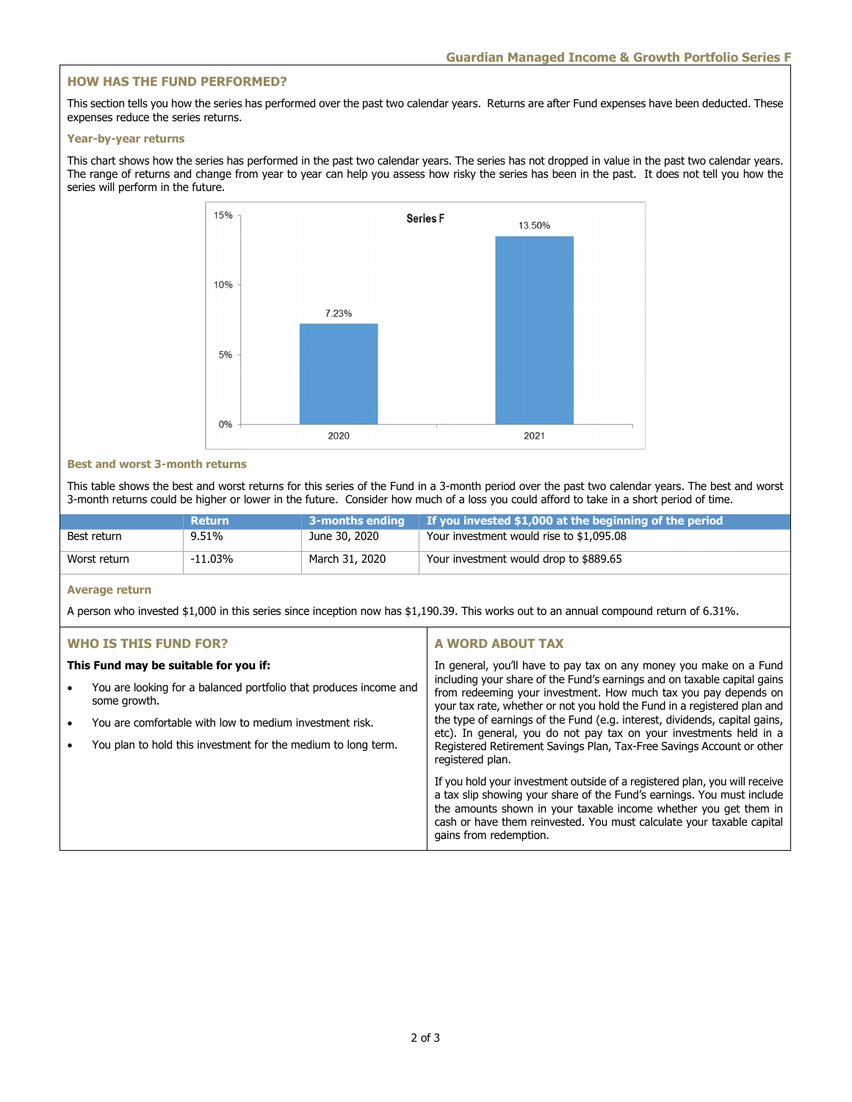## **HOW HAS THE FUND PERFORMED?**

This section tells you how the series has performed over the past two calendar years. Returns are after Fund expenses have been deducted. These expenses reduce the series returns.

#### **Year-by-year returns**

This chart shows how the series has performed in the past two calendar years. The series has not dropped in value in the past two calendar years. The range of returns and change from year to year can help you assess how risky the series has been in the past. It does not tell you how the series will perform in the future.



### **Best and worst 3-month returns**

This table shows the best and worst returns for this series of the Fund in a 3-month period over the past two calendar years. The best and worst 3-month returns could be higher or lower in the future. Consider how much of a loss you could afford to take in a short period of time.

|              | <b>Return</b> | 3-months ending | If you invested \$1,000 at the beginning of the period |
|--------------|---------------|-----------------|--------------------------------------------------------|
| Best return  | 9.51%         | June 30, 2020   | Your investment would rise to \$1,095.08               |
| Worst return | -11.03%       | March 31, 2020  | Your investment would drop to \$889.65                 |

## **Average return**

A person who invested \$1,000 in this series since inception now has \$1,190.39. This works out to an annual compound return of 6.31%.

## **WHO IS THIS FUND FOR?**

### **This Fund may be suitable for you if:**

- You are looking for a balanced portfolio that produces income and some growth.
- You are comfortable with low to medium investment risk.
- You plan to hold this investment for the medium to long term.

## **A WORD ABOUT TAX**

In general, you'll have to pay tax on any money you make on a Fund including your share of the Fund's earnings and on taxable capital gains from redeeming your investment. How much tax you pay depends on your tax rate, whether or not you hold the Fund in a registered plan and the type of earnings of the Fund (e.g. interest, dividends, capital gains, etc). In general, you do not pay tax on your investments held in a Registered Retirement Savings Plan, Tax-Free Savings Account or other registered plan.

If you hold your investment outside of a registered plan, you will receive a tax slip showing your share of the Fund's earnings. You must include the amounts shown in your taxable income whether you get them in cash or have them reinvested. You must calculate your taxable capital gains from redemption.